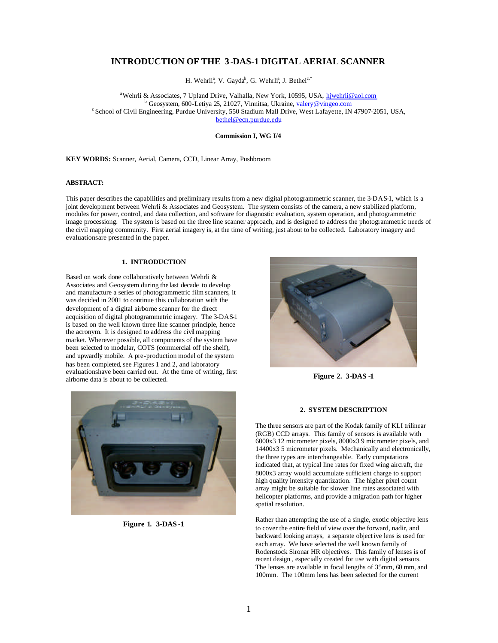# **INTRODUCTION OF THE 3 -DAS-1 DIGITAL AERIAL SCANNER**

H. Wehrli<sup>a</sup>, V. Gayda<sup>b</sup>, G. Wehrli<sup>a</sup>, J. Bethel<sup>c,\*</sup>

<sup>a</sup>Wehrli & Associates, 7 Upland Drive, Valhalla, New York, 10595, USA, hiwehrli@aol.com <sup>b</sup>Geosystem, 600-Letiya 25, 21027, Vinnitsa, Ukraine, valery@vingeo.com <sup>c</sup> School of Civil Engineering, Purdue University, 550 Stadium Mall Drive, West Lafayette, IN 47907-2051, USA, bethel@ecn.purdue.edu

#### **Commission I, WG I/4**

**KEY WORDS:** Scanner, Aerial, Camera, CCD, Linear Array, Pushbroom

# **ABSTRACT:**

This paper describes the capabilities and preliminary results from a new digital photogrammetric scanner, the 3-DAS-1, which is a joint development between Wehrli & Associates and Geosystem. The system consists of the camera, a new stabilized platform, modules for power, control, and data collection, and software for diagnostic evaluation, system operation, and photogrammetric image processiong. The system is based on the three line scanner approach, and is designed to address the photogrammetric needs of the civil mapping community. First aerial imagery is, at the time of writing, just about to be collected. Laboratory imagery and evaluations are presented in the paper.

#### **1. INTRODUCTION**

Based on work done collaboratively between Wehrli & Associates and Geosystem during the last decade to develop and manufacture a series of photogrammetric film scanners, it was decided in 2001 to continue this collaboration with the development of a digital airborne scanner for the direct acquisition of digital photogrammetric imagery. The 3-DAS-1 is based on the well known three line scanner principle, hence the acronym. It is designed to address the civil mapping market. Wherever possible, all components of the system have been selected to modular, COTS (commercial off the shelf), and upwardly mobile. A pre-production model of the system has been completed, see Figures 1 and 2, and laboratory evaluations have been carried out. At the time of writing, first airborne data is about to be collected.



**Figure 1. 3-DAS -1**



**Figure 2. 3-DAS -1**

#### **2. SYSTEM DESCRIPTION**

The three sensors are part of the Kodak family of KLI trilinear (RGB) CCD arrays. This family of sensors is available with 6000x3 12 micrometer pixels, 8000x3 9 micrometer pixels, and 14400x3 5 micrometer pixels. Mechanically and electronically, the three types are interchangeable. Early computations indicated that, at typical line rates for fixed wing aircraft, the 8000x3 array would accumulate sufficient charge to support high quality intensity quantization. The higher pixel count array might be suitable for slower line rates associated with helicopter platforms, and provide a migration path for higher spatial resolution.

Rather than attempting the use of a single, exotic objective lens to cover the entire field of view over the forward, nadir, and backward looking arrays, a separate object ive lens is used for each array. We have selected the well known family of Rodenstock Sironar HR objectives. This family of lenses is of recent design , especially created for use with digital sensors. The lenses are available in focal lengths of 35mm, 60 mm, and 100mm. The 100mm lens has been selected for the current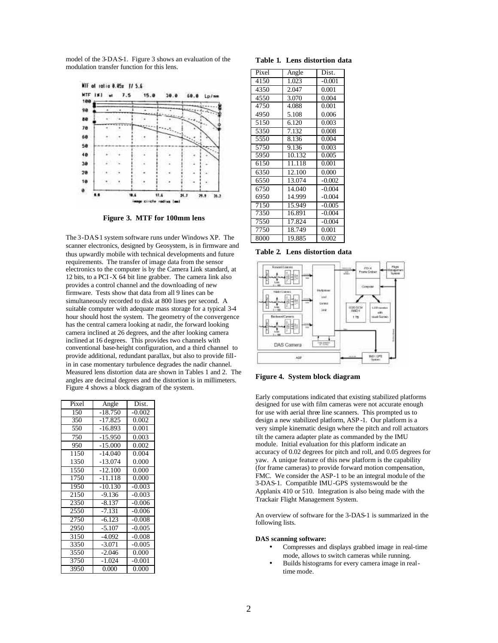model of the 3-DAS-1. Figure 3 shows an evaluation of the modulation transfer function for this lens.



**Figure 3. MTF for 100mm lens**

The 3-DAS1 system software runs under Windows XP. The scanner electronics, designed by Geosystem, is in firmware and thus upwardly mobile with technical developments and future requirements. The transfer of image data from the sensor electronics to the computer is by the Camera Link standard, at 12 bits, to a PCI-X 64 bit line grabber. The camera link also provides a control channel and the downloading of new firmware. Tests show that data from all 9 lines can be simultaneously recorded to disk at 800 lines per second. A suitable computer with adequate mass storage for a typical 3-4 hour should host the system. The geometry of the convergence has the central camera looking at nadir, the forward looking camera inclined at 26 degrees, and the after looking camera inclined at 16 degrees. This provides two channels with conventional base-height configuration, and a third channel to provide additional, redundant parallax, but also to provide fillin in case momentary turbulence degrades the nadir channel. Measured lens distortion data are shown in Tables 1 and 2. The angles are decimal degrees and the distortion is in millimeters. Figure 4 shows a block diagram of the system.

| Pixel | Angle     | Dist.    |
|-------|-----------|----------|
| 150   | $-18.750$ | $-0.002$ |
| 350   | $-17.825$ | 0.002    |
| 550   | $-16.893$ | 0.001    |
| 750   | $-15.950$ | 0.003    |
| 950   | $-15.000$ | 0.002    |
| 1150  | $-14.040$ | 0.004    |
| 1350  | $-13.074$ | 0.000    |
| 1550  | $-12.100$ | 0.000    |
| 1750  | $-11.118$ | 0.000    |
| 1950  | $-10.130$ | $-0.003$ |
| 2150  | $-9.136$  | $-0.003$ |
| 2350  | $-8.137$  | $-0.006$ |
| 2550  | $-7.131$  | $-0.006$ |
| 2750  | $-6.123$  | $-0.008$ |
| 2950  | $-5.107$  | $-0.005$ |
| 3150  | $-4.092$  | $-0.008$ |
| 3350  | $-3.071$  | $-0.005$ |
| 3550  | $-2.046$  | 0.000    |
| 3750  | $-1.024$  | $-0.001$ |
| 3950  | 0.000     | 0.000    |

#### **Table 1. Lens distortion data**

| Angle  | Dist.    |
|--------|----------|
| 1.023  | $-0.001$ |
| 2.047  | 0.001    |
| 3.070  | 0.004    |
| 4.088  | 0.001    |
| 5.108  | 0.006    |
| 6.120  | 0.003    |
| 7.132  | 0.008    |
| 8.136  | 0.004    |
| 9.136  | 0.003    |
| 10.132 | 0.005    |
| 11.118 | 0.001    |
| 12.100 | 0.000    |
| 13.074 | $-0.002$ |
| 14.040 | $-0.004$ |
| 14.999 | $-0.004$ |
| 15.949 | $-0.005$ |
| 16.891 | $-0.004$ |
| 17.824 | $-0.004$ |
| 18.749 | 0.001    |
| 19.885 | 0.002    |
|        |          |

**Table 2. Lens distortion data**



**Figure 4. System block diagram**

Early computations indicated that existing stabilized platforms designed for use with film cameras were not accurate enough for use with aerial three line scanners. This prompted us to design a new stabilized platform, ASP -1. Our platform is a very simple kinematic design where the pitch and roll actuators tilt the camera adapter plate as commanded by the IMU module. Initial evaluation for this platform indicate an accuracy of 0.02 degrees for pitch and roll, and 0.05 degrees for yaw. A unique feature of this new platform is the capability (for frame cameras) to provide forward motion compensation, FMC. We consider the ASP-1 to be an integral module of the 3-DAS-1. Compatible IMU-GPS systems would be the Applanix 410 or 510. Integration is also being made with the Trackair Flight Management System.

An overview of software for the 3-DAS-1 is summarized in the following lists.

#### **DAS scanning software:**

- Compresses and displays grabbed image in real-time mode, allows to switch cameras while running.
- Builds histograms for every camera image in realtime mode.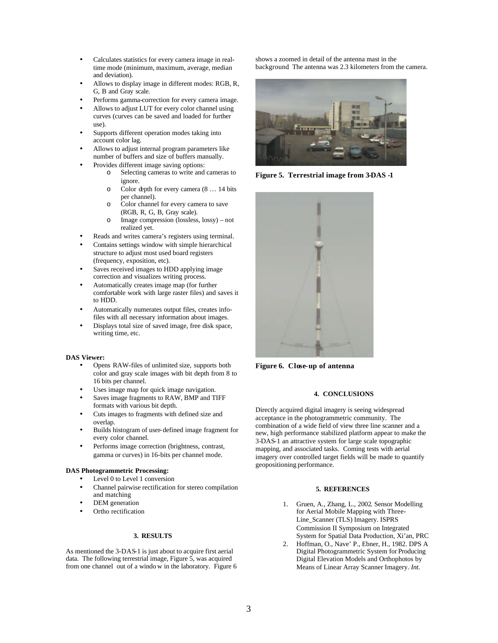- Calculates statistics for every camera image in realtime mode (minimum, maximum, average, median and deviation).
- Allows to display image in different modes: RGB, R, G, B and Gray scale.
- Performs gamma-correction for every camera image.
- Allows to adjust LUT for every color channel using curves (curves can be saved and loaded for further use).
- Supports different operation modes taking into account color lag.
- Allows to adjust internal program parameters like number of buffers and size of buffers manually.
- Provides different image saving options:
	- o Selecting cameras to write and cameras to ignore.
	- o Color depth for every camera (8 … 14 bits per channel).
	- o Color channel for every camera to save (RGB, R, G, B, Gray scale).
	- o Image compression (lossless, lossy) not realized yet.
- Reads and writes camera's registers using terminal.
- Contains settings window with simple hierarchical structure to adjust most used board registers (frequency, exposition, etc).
- Saves received images to HDD applying image correction and visualizes writing process.
- Automatically creates image map (for further comfortable work with large raster files) and saves it to HDD.
- Automatically numerates output files, creates infofiles with all necessary information about images.
- Displays total size of saved image, free disk space, writing time, etc.

## **DAS Viewer:**

- Opens RAW-files of unlimited size, supports both color and gray scale images with bit depth from 8 to 16 bits per channel.
- Uses image map for quick image navigation.
- Saves image fragments to RAW, BMP and TIFF formats with various bit depth.
- Cuts images to fragments with defined size and overlap.
- Builds histogram of user-defined image fragment for every color channel.
- Performs image correction (brightness, contrast, gamma or curves) in 16-bits per channel mode.

#### **DAS Photogrammetric Processing:**

- Level 0 to Level 1 conversion
- Channel pairwise rectification for stereo compilation and matching
- DEM generation
- Ortho rectification

## **3. RESULTS**

As mentioned the 3-DAS-1 is just about to acquire first aerial data. The following terrestrial image, Figure 5, was acquired from one channel out of a windo w in the laboratory. Figure 6 shows a zoomed in detail of the antenna mast in the background. The antenna was 2.3 kilometers from the camera.



**Figure 5. Terrestrial image from 3-DAS -1**



**Figure 6. Close-up of antenna**

# **4. CONCLUSIONS**

Directly acquired digital imagery is seeing widespread acceptance in the photogrammetric community. The combination of a wide field of view three line scanner and a new, high performance stabilized platform appear to make the 3-DAS-1 an attractive system for large scale topographic mapping, and associated tasks. Coming tests with aerial imagery over controlled target fields will be made to quantify geopositioning performance.

### **5. REFERENCES**

- 1. Gruen, A., Zhang, L., 2002. Sensor Modelling for Aerial Mobile Mapping with Three-Line\_Scanner (TLS) Imagery. ISPRS Commission II Symposium on Integrated System for Spatial Data Production, Xi'an, PRC
- 2. Hoffman, O., Nave' P., Ebner, H., 1982. DPS A Digital Photogrammetric System for Producing Digital Elevation Models and Orthophotos by Means of Linear Array Scanner Imagery. *Int.*